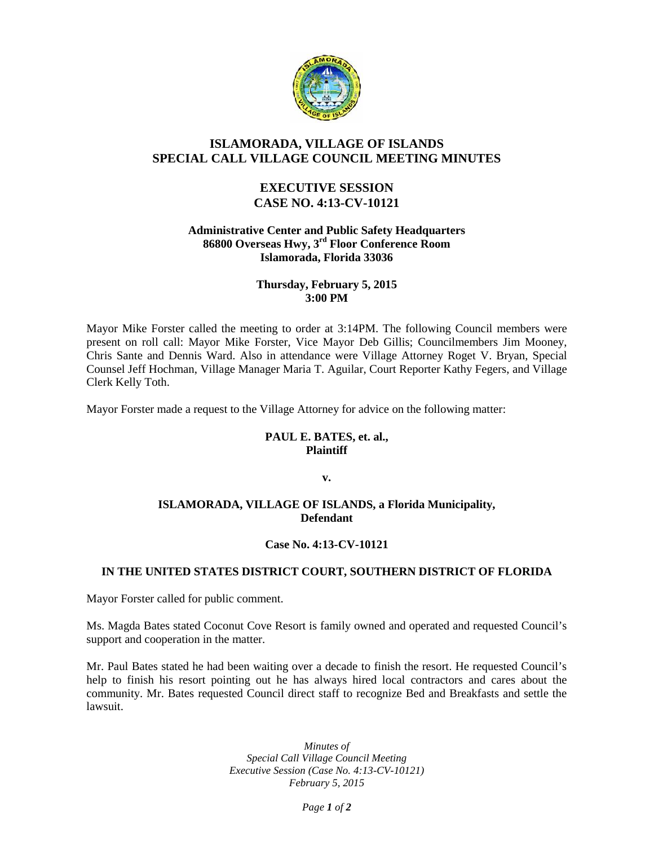

# **ISLAMORADA, VILLAGE OF ISLANDS SPECIAL CALL VILLAGE COUNCIL MEETING MINUTES**

## **EXECUTIVE SESSION CASE NO. 4:13-CV-10121**

#### **Administrative Center and Public Safety Headquarters 86800 Overseas Hwy, 3rd Floor Conference Room Islamorada, Florida 33036**

#### **Thursday, February 5, 2015 3:00 PM**

Mayor Mike Forster called the meeting to order at 3:14PM. The following Council members were present on roll call: Mayor Mike Forster, Vice Mayor Deb Gillis; Councilmembers Jim Mooney, Chris Sante and Dennis Ward. Also in attendance were Village Attorney Roget V. Bryan, Special Counsel Jeff Hochman, Village Manager Maria T. Aguilar, Court Reporter Kathy Fegers, and Village Clerk Kelly Toth.

Mayor Forster made a request to the Village Attorney for advice on the following matter:

### **PAUL E. BATES, et. al., Plaintiff**

**v.**

### **ISLAMORADA, VILLAGE OF ISLANDS, a Florida Municipality, Defendant**

## **Case No. 4:13-CV-10121**

## **IN THE UNITED STATES DISTRICT COURT, SOUTHERN DISTRICT OF FLORIDA**

Mayor Forster called for public comment.

Ms. Magda Bates stated Coconut Cove Resort is family owned and operated and requested Council's support and cooperation in the matter.

Mr. Paul Bates stated he had been waiting over a decade to finish the resort. He requested Council's help to finish his resort pointing out he has always hired local contractors and cares about the community. Mr. Bates requested Council direct staff to recognize Bed and Breakfasts and settle the lawsuit.

> *Minutes of Special Call Village Council Meeting Executive Session (Case No. 4:13-CV-10121) February 5, 2015*